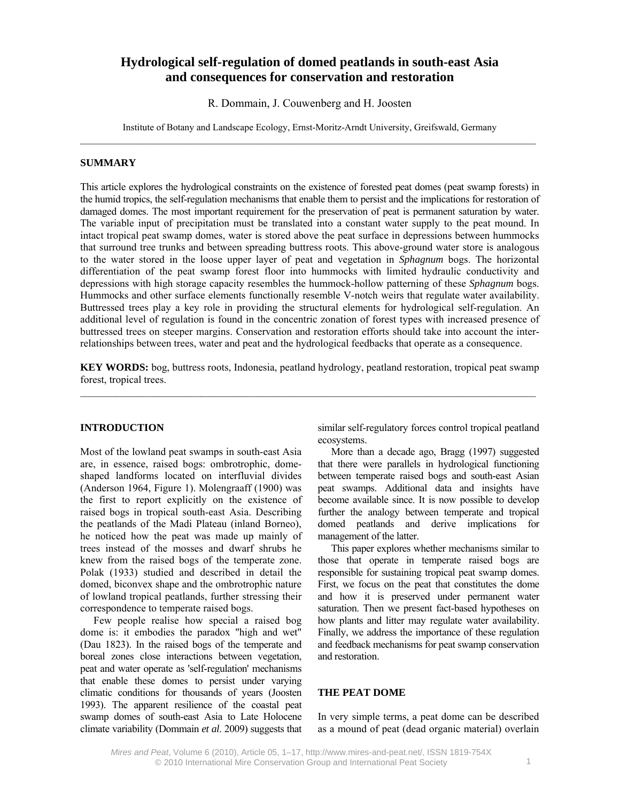# **Hydrological self-regulation of domed peatlands in south-east Asia and consequences for conservation and restoration**

R. Dommain, J. Couwenberg and H. Joosten

Institute of Botany and Landscape Ecology, Ernst-Moritz-Arndt University, Greifswald, Germany

#### **SUMMARY**

This article explores the hydrological constraints on the existence of forested peat domes (peat swamp forests) in the humid tropics, the self-regulation mechanisms that enable them to persist and the implications for restoration of damaged domes. The most important requirement for the preservation of peat is permanent saturation by water. The variable input of precipitation must be translated into a constant water supply to the peat mound. In intact tropical peat swamp domes, water is stored above the peat surface in depressions between hummocks that surround tree trunks and between spreading buttress roots. This above-ground water store is analogous to the water stored in the loose upper layer of peat and vegetation in *Sphagnum* bogs. The horizontal differentiation of the peat swamp forest floor into hummocks with limited hydraulic conductivity and depressions with high storage capacity resembles the hummock-hollow patterning of these *Sphagnum* bogs. Hummocks and other surface elements functionally resemble V-notch weirs that regulate water availability. Buttressed trees play a key role in providing the structural elements for hydrological self-regulation. An additional level of regulation is found in the concentric zonation of forest types with increased presence of buttressed trees on steeper margins. Conservation and restoration efforts should take into account the interrelationships between trees, water and peat and the hydrological feedbacks that operate as a consequence.

**KEY WORDS:** bog, buttress roots, Indonesia, peatland hydrology, peatland restoration, tropical peat swamp forest, tropical trees.  $\mathcal{L}_\mathcal{L} = \{ \mathcal{L}_\mathcal{L} = \{ \mathcal{L}_\mathcal{L} = \{ \mathcal{L}_\mathcal{L} = \{ \mathcal{L}_\mathcal{L} = \{ \mathcal{L}_\mathcal{L} = \{ \mathcal{L}_\mathcal{L} = \{ \mathcal{L}_\mathcal{L} = \{ \mathcal{L}_\mathcal{L} = \{ \mathcal{L}_\mathcal{L} = \{ \mathcal{L}_\mathcal{L} = \{ \mathcal{L}_\mathcal{L} = \{ \mathcal{L}_\mathcal{L} = \{ \mathcal{L}_\mathcal{L} = \{ \mathcal{L}_\mathcal{$ 

## **INTRODUCTION**

Most of the lowland peat swamps in south-east Asia are, in essence, raised bogs: ombrotrophic, domeshaped landforms located on interfluvial divides (Anderson 1964, Figure 1). Molengraaff (1900) was the first to report explicitly on the existence of raised bogs in tropical south-east Asia. Describing the peatlands of the Madi Plateau (inland Borneo), he noticed how the peat was made up mainly of trees instead of the mosses and dwarf shrubs he knew from the raised bogs of the temperate zone. Polak (1933) studied and described in detail the domed, biconvex shape and the ombrotrophic nature of lowland tropical peatlands, further stressing their correspondence to temperate raised bogs.

Few people realise how special a raised bog dome is: it embodies the paradox "high and wet" (Dau 1823). In the raised bogs of the temperate and boreal zones close interactions between vegetation, peat and water operate as 'self-regulation' mechanisms that enable these domes to persist under varying climatic conditions for thousands of years (Joosten 1993). The apparent resilience of the coastal peat swamp domes of south-east Asia to Late Holocene climate variability (Dommain *et al*. 2009) suggests that similar self-regulatory forces control tropical peatland ecosystems.

More than a decade ago, Bragg (1997) suggested that there were parallels in hydrological functioning between temperate raised bogs and south-east Asian peat swamps. Additional data and insights have become available since. It is now possible to develop further the analogy between temperate and tropical domed peatlands and derive implications for management of the latter.

This paper explores whether mechanisms similar to those that operate in temperate raised bogs are responsible for sustaining tropical peat swamp domes. First, we focus on the peat that constitutes the dome and how it is preserved under permanent water saturation. Then we present fact-based hypotheses on how plants and litter may regulate water availability. Finally, we address the importance of these regulation and feedback mechanisms for peat swamp conservation and restoration.

## **THE PEAT DOME**

In very simple terms, a peat dome can be described as a mound of peat (dead organic material) overlain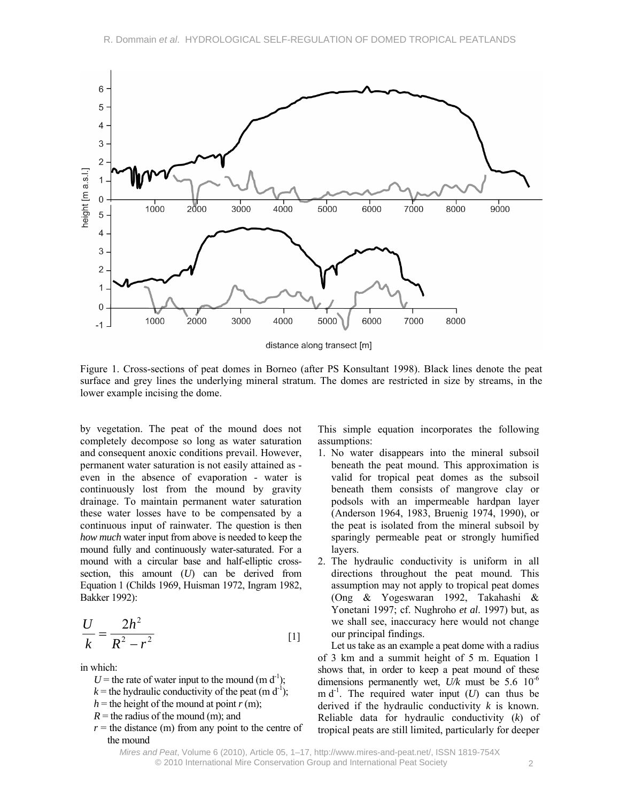

Figure 1. Cross-sections of peat domes in Borneo (after PS Konsultant 1998). Black lines denote the peat surface and grey lines the underlying mineral stratum. The domes are restricted in size by streams, in the lower example incising the dome.

by vegetation. The peat of the mound does not completely decompose so long as water saturation and consequent anoxic conditions prevail. However, permanent water saturation is not easily attained as even in the absence of evaporation - water is continuously lost from the mound by gravity drainage. To maintain permanent water saturation these water losses have to be compensated by a continuous input of rainwater. The question is then *how much* water input from above is needed to keep the mound fully and continuously water-saturated. For a mound with a circular base and half-elliptic crosssection, this amount (*U*) can be derived from Equation 1 (Childs 1969, Huisman 1972, Ingram 1982, Bakker 1992):

$$
\frac{U}{k} = \frac{2h^2}{R^2 - r^2}
$$
 [1]

in which:

- $U$  = the rate of water input to the mound (m d<sup>-1</sup>);
- $k =$  the hydraulic conductivity of the peat (m d<sup>-1</sup>);
- $h =$  the height of the mound at point  $r(m)$ ;
- $R =$  the radius of the mound (m); and
- $r =$  the distance (m) from any point to the centre of the mound

This simple equation incorporates the following assumptions:

- 1. No water disappears into the mineral subsoil beneath the peat mound. This approximation is valid for tropical peat domes as the subsoil beneath them consists of mangrove clay or podsols with an impermeable hardpan layer (Anderson 1964, 1983, Bruenig 1974, 1990), or the peat is isolated from the mineral subsoil by sparingly permeable peat or strongly humified layers.
- 2. The hydraulic conductivity is uniform in all directions throughout the peat mound. This assumption may not apply to tropical peat domes (Ong & Yogeswaran 1992, Takahashi & Yonetani 1997; cf. Nughroho *et al*. 1997) but, as we shall see, inaccuracy here would not change our principal findings.

Let us take as an example a peat dome with a radius of 3 km and a summit height of 5 m. Equation 1 shows that, in order to keep a peat mound of these dimensions permanently wet,  $U/k$  must be 5.6 10<sup>-6</sup> m  $d^{-1}$ . The required water input (*U*) can thus be derived if the hydraulic conductivity *k* is known. Reliable data for hydraulic conductivity (*k*) of tropical peats are still limited, particularly for deeper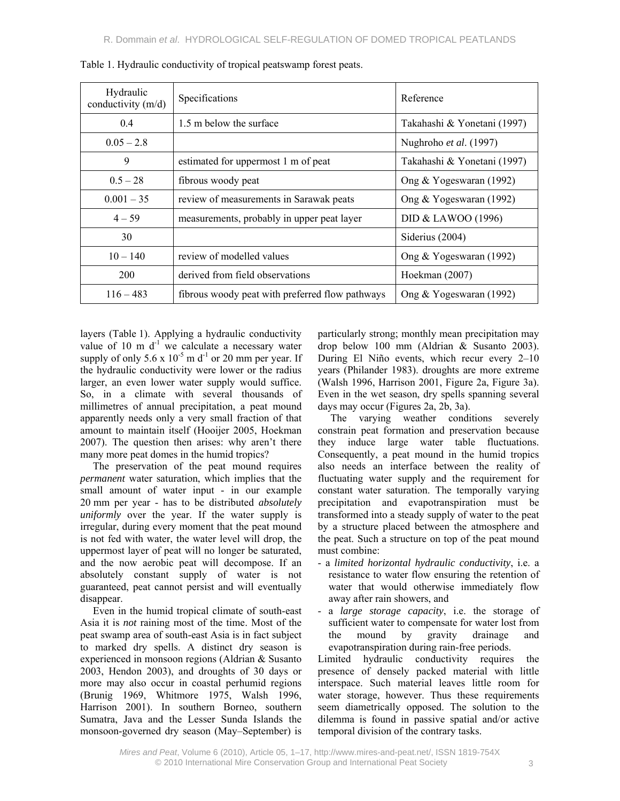| Hydraulic<br>conductivity $(m/d)$ | Specifications                                  | Reference                   |
|-----------------------------------|-------------------------------------------------|-----------------------------|
| 0.4                               | 1.5 m below the surface                         | Takahashi & Yonetani (1997) |
| $0.05 - 2.8$                      |                                                 | Nughroho et al. (1997)      |
| 9                                 | estimated for uppermost 1 m of peat             | Takahashi & Yonetani (1997) |
| $0.5 - 28$                        | fibrous woody peat                              | Ong & Yogeswaran (1992)     |
| $0.001 - 35$                      | review of measurements in Sarawak peats         | Ong & Yogeswaran (1992)     |
| $4 - 59$                          | measurements, probably in upper peat layer      | DID & LAWOO (1996)          |
| 30                                |                                                 | Siderius (2004)             |
| $10 - 140$                        | review of modelled values                       | Ong & Yogeswaran (1992)     |
| 200                               | derived from field observations                 | Hoekman (2007)              |
| $116 - 483$                       | fibrous woody peat with preferred flow pathways | Ong & Yogeswaran (1992)     |

Table 1. Hydraulic conductivity of tropical peatswamp forest peats.

layers (Table 1). Applying a hydraulic conductivity value of 10 m  $d^{-1}$  we calculate a necessary water supply of only  $5.6 \times 10^{-5}$  m d<sup>-1</sup> or 20 mm per year. If the hydraulic conductivity were lower or the radius larger, an even lower water supply would suffice. So, in a climate with several thousands of millimetres of annual precipitation, a peat mound apparently needs only a very small fraction of that amount to maintain itself (Hooijer 2005, Hoekman 2007). The question then arises: why aren't there many more peat domes in the humid tropics?

The preservation of the peat mound requires *permanent* water saturation, which implies that the small amount of water input - in our example 20 mm per year - has to be distributed *absolutely uniformly* over the year. If the water supply is irregular, during every moment that the peat mound is not fed with water, the water level will drop, the uppermost layer of peat will no longer be saturated, and the now aerobic peat will decompose. If an absolutely constant supply of water is not guaranteed, peat cannot persist and will eventually disappear.

Even in the humid tropical climate of south-east Asia it is *not* raining most of the time. Most of the peat swamp area of south-east Asia is in fact subject to marked dry spells. A distinct dry season is experienced in monsoon regions (Aldrian & Susanto 2003, Hendon 2003), and droughts of 30 days or more may also occur in coastal perhumid regions (Brunig 1969, Whitmore 1975, Walsh 1996, Harrison 2001). In southern Borneo, southern Sumatra, Java and the Lesser Sunda Islands the monsoon-governed dry season (May–September) is

particularly strong; monthly mean precipitation may drop below 100 mm (Aldrian & Susanto 2003). During El Niño events, which recur every 2–10 years (Philander 1983). droughts are more extreme (Walsh 1996, Harrison 2001, Figure 2a, Figure 3a). Even in the wet season, dry spells spanning several days may occur (Figures 2a, 2b, 3a).

The varying weather conditions severely constrain peat formation and preservation because they induce large water table fluctuations. Consequently, a peat mound in the humid tropics also needs an interface between the reality of fluctuating water supply and the requirement for constant water saturation. The temporally varying precipitation and evapotranspiration must be transformed into a steady supply of water to the peat by a structure placed between the atmosphere and the peat. Such a structure on top of the peat mound must combine:

- a *limited horizontal hydraulic conductivity*, i.e. a resistance to water flow ensuring the retention of water that would otherwise immediately flow away after rain showers, and
- a *large storage capacity*, i.e. the storage of sufficient water to compensate for water lost from the mound by gravity drainage and evapotranspiration during rain-free periods.

Limited hydraulic conductivity requires the presence of densely packed material with little interspace. Such material leaves little room for water storage, however. Thus these requirements seem diametrically opposed. The solution to the dilemma is found in passive spatial and/or active temporal division of the contrary tasks.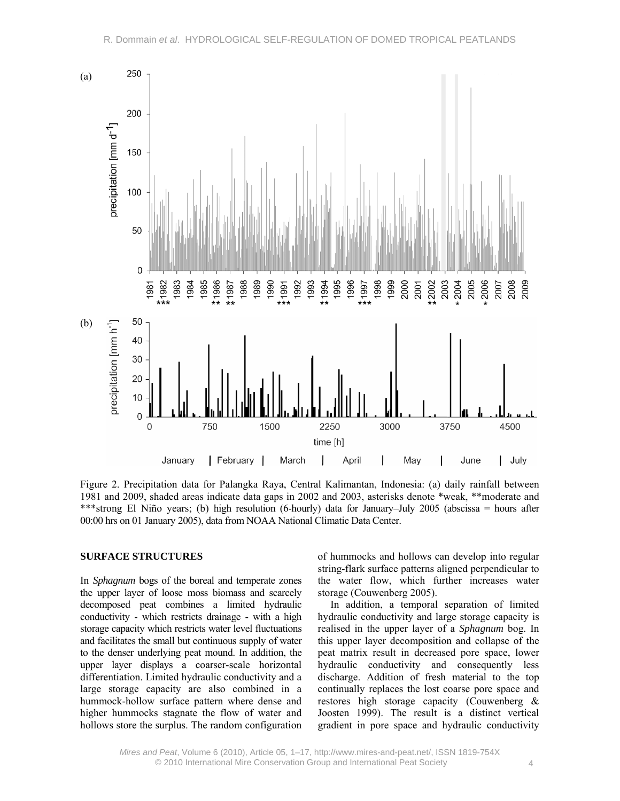

Figure 2. Precipitation data for Palangka Raya, Central Kalimantan, Indonesia: (a) daily rainfall between 1981 and 2009, shaded areas indicate data gaps in 2002 and 2003, asterisks denote \*weak, \*\*moderate and \*\*\*strong El Niño years; (b) high resolution (6-hourly) data for January–July 2005 (abscissa = hours after 00:00 hrs on 01 January 2005), data from NOAA National Climatic Data Center.

## **SURFACE STRUCTURES**

In *Sphagnum* bogs of the boreal and temperate zones the upper layer of loose moss biomass and scarcely decomposed peat combines a limited hydraulic conductivity - which restricts drainage - with a high storage capacity which restricts water level fluctuations and facilitates the small but continuous supply of water to the denser underlying peat mound. In addition, the upper layer displays a coarser-scale horizontal differentiation. Limited hydraulic conductivity and a large storage capacity are also combined in a hummock-hollow surface pattern where dense and higher hummocks stagnate the flow of water and hollows store the surplus. The random configuration

of hummocks and hollows can develop into regular string-flark surface patterns aligned perpendicular to the water flow, which further increases water storage (Couwenberg 2005).

In addition, a temporal separation of limited hydraulic conductivity and large storage capacity is realised in the upper layer of a *Sphagnum* bog. In this upper layer decomposition and collapse of the peat matrix result in decreased pore space, lower hydraulic conductivity and consequently less discharge. Addition of fresh material to the top continually replaces the lost coarse pore space and restores high storage capacity (Couwenberg & Joosten 1999). The result is a distinct vertical gradient in pore space and hydraulic conductivity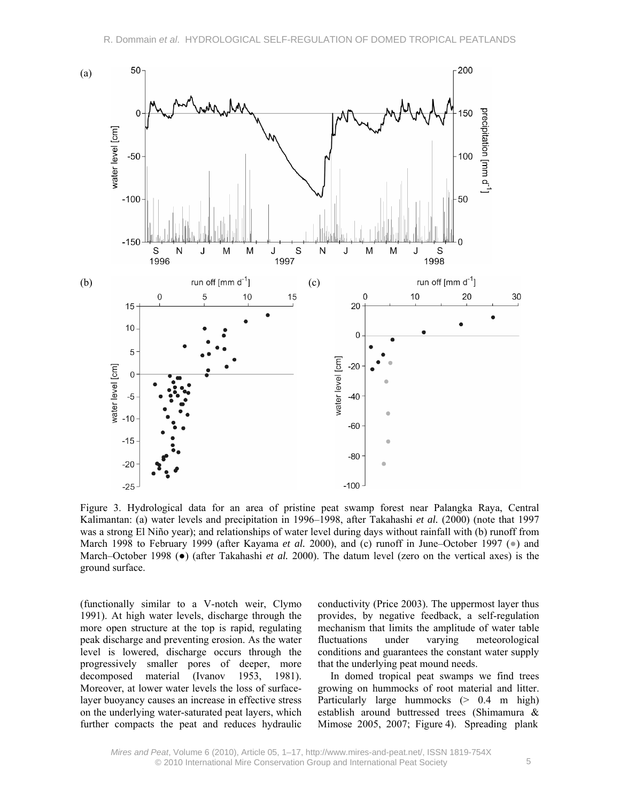

Figure 3. Hydrological data for an area of pristine peat swamp forest near Palangka Raya, Central Kalimantan: (a) water levels and precipitation in 1996–1998, after Takahashi *et al.* (2000) (note that 1997 was a strong El Niño year); and relationships of water level during days without rainfall with (b) runoff from March 1998 to February 1999 (after Kayama *et al.* 2000), and (c) runoff in June–October 1997 (•) and March–October 1998 (●) (after Takahashi *et al.* 2000). The datum level (zero on the vertical axes) is the ground surface.

(functionally similar to a V-notch weir, Clymo 1991). At high water levels, discharge through the more open structure at the top is rapid, regulating peak discharge and preventing erosion. As the water level is lowered, discharge occurs through the progressively smaller pores of deeper, more decomposed material (Ivanov 1953, 1981). Moreover, at lower water levels the loss of surfacelayer buoyancy causes an increase in effective stress on the underlying water-saturated peat layers, which further compacts the peat and reduces hydraulic

conductivity (Price 2003). The uppermost layer thus provides, by negative feedback, a self-regulation mechanism that limits the amplitude of water table fluctuations under varying meteorological conditions and guarantees the constant water supply that the underlying peat mound needs.

In domed tropical peat swamps we find trees growing on hummocks of root material and litter. Particularly large hummocks (> 0.4 m high) establish around buttressed trees (Shimamura & Mimose 2005, 2007; Figure 4). Spreading plank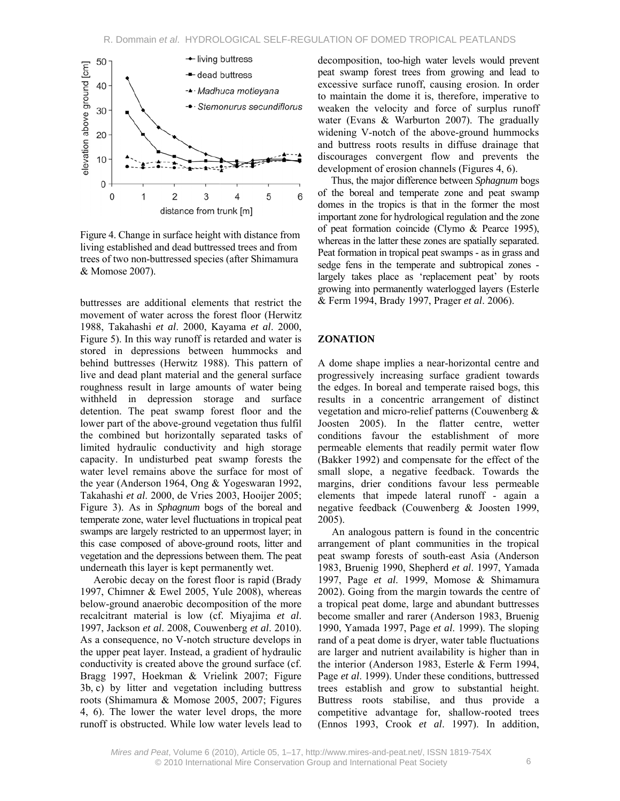

Figure 4. Change in surface height with distance from living established and dead buttressed trees and from trees of two non-buttressed species (after Shimamura & Momose 2007).

buttresses are additional elements that restrict the movement of water across the forest floor (Herwitz 1988, Takahashi *et al*. 2000, Kayama *et al*. 2000, Figure 5). In this way runoff is retarded and water is stored in depressions between hummocks and behind buttresses (Herwitz 1988). This pattern of live and dead plant material and the general surface roughness result in large amounts of water being withheld in depression storage and surface detention. The peat swamp forest floor and the lower part of the above-ground vegetation thus fulfil the combined but horizontally separated tasks of limited hydraulic conductivity and high storage capacity. In undisturbed peat swamp forests the water level remains above the surface for most of the year (Anderson 1964, Ong & Yogeswaran 1992, Takahashi *et al*. 2000, de Vries 2003, Hooijer 2005; Figure 3). As in *Sphagnum* bogs of the boreal and temperate zone, water level fluctuations in tropical peat swamps are largely restricted to an uppermost layer; in this case composed of above-ground roots, litter and vegetation and the depressions between them. The peat underneath this layer is kept permanently wet.

Aerobic decay on the forest floor is rapid (Brady 1997, Chimner & Ewel 2005, Yule 2008), whereas below-ground anaerobic decomposition of the more recalcitrant material is low (cf. Miyajima *et al*. 1997, Jackson *et al*. 2008, Couwenberg *et al*. 2010). As a consequence, no V-notch structure develops in the upper peat layer. Instead, a gradient of hydraulic conductivity is created above the ground surface (cf. Bragg 1997, Hoekman & Vrielink 2007; Figure 3b, c) by litter and vegetation including buttress roots (Shimamura & Momose 2005, 2007; Figures 4, 6). The lower the water level drops, the more runoff is obstructed. While low water levels lead to

decomposition, too-high water levels would prevent peat swamp forest trees from growing and lead to excessive surface runoff, causing erosion. In order to maintain the dome it is, therefore, imperative to weaken the velocity and force of surplus runoff water (Evans & Warburton 2007). The gradually widening V-notch of the above-ground hummocks and buttress roots results in diffuse drainage that discourages convergent flow and prevents the development of erosion channels (Figures 4, 6).

Thus, the major difference between *Sphagnum* bogs of the boreal and temperate zone and peat swamp domes in the tropics is that in the former the most important zone for hydrological regulation and the zone of peat formation coincide (Clymo & Pearce 1995), whereas in the latter these zones are spatially separated. Peat formation in tropical peat swamps - as in grass and sedge fens in the temperate and subtropical zones largely takes place as 'replacement peat' by roots growing into permanently waterlogged layers (Esterle & Ferm 1994, Brady 1997, Prager *et al*. 2006).

### **ZONATION**

A dome shape implies a near-horizontal centre and progressively increasing surface gradient towards the edges. In boreal and temperate raised bogs, this results in a concentric arrangement of distinct vegetation and micro-relief patterns (Couwenberg & Joosten 2005). In the flatter centre, wetter conditions favour the establishment of more permeable elements that readily permit water flow (Bakker 1992) and compensate for the effect of the small slope, a negative feedback. Towards the margins, drier conditions favour less permeable elements that impede lateral runoff - again a negative feedback (Couwenberg & Joosten 1999, 2005).

An analogous pattern is found in the concentric arrangement of plant communities in the tropical peat swamp forests of south-east Asia (Anderson 1983, Bruenig 1990, Shepherd *et al*. 1997, Yamada 1997, Page *et al*. 1999, Momose & Shimamura 2002). Going from the margin towards the centre of a tropical peat dome, large and abundant buttresses become smaller and rarer (Anderson 1983, Bruenig 1990, Yamada 1997, Page *et al*. 1999). The sloping rand of a peat dome is dryer, water table fluctuations are larger and nutrient availability is higher than in the interior (Anderson 1983, Esterle & Ferm 1994, Page *et al*. 1999). Under these conditions, buttressed trees establish and grow to substantial height. Buttress roots stabilise, and thus provide a competitive advantage for, shallow-rooted trees (Ennos 1993, Crook *et al*. 1997). In addition,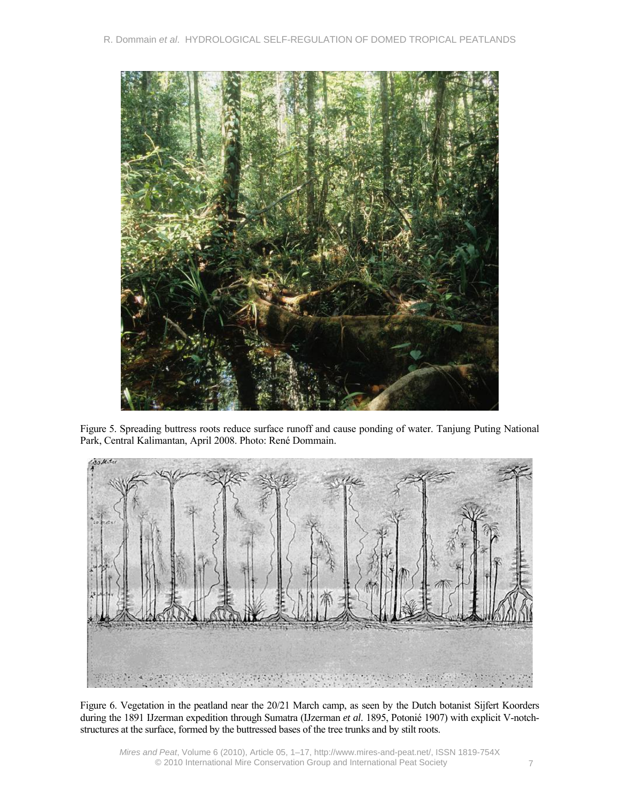

Figure 5. Spreading buttress roots reduce surface runoff and cause ponding of water. Tanjung Puting National Park, Central Kalimantan, April 2008. Photo: René Dommain.



Figure 6. Vegetation in the peatland near the 20/21 March camp, as seen by the Dutch botanist Sijfert Koorders during the 1891 IJzerman expedition through Sumatra (IJzerman *et al*. 1895, Potonié 1907) with explicit V-notchstructures at the surface, formed by the buttressed bases of the tree trunks and by stilt roots.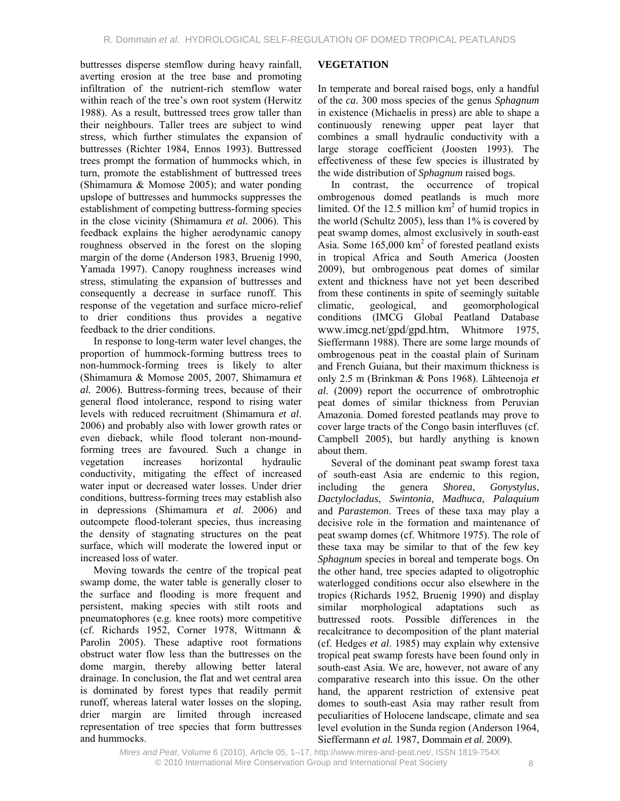buttresses disperse stemflow during heavy rainfall, averting erosion at the tree base and promoting infiltration of the nutrient-rich stemflow water within reach of the tree's own root system (Herwitz 1988). As a result, buttressed trees grow taller than their neighbours. Taller trees are subject to wind stress, which further stimulates the expansion of buttresses (Richter 1984, Ennos 1993). Buttressed trees prompt the formation of hummocks which, in turn, promote the establishment of buttressed trees (Shimamura & Momose 2005); and water ponding upslope of buttresses and hummocks suppresses the establishment of competing buttress-forming species in the close vicinity (Shimamura *et al.* 2006). This feedback explains the higher aerodynamic canopy roughness observed in the forest on the sloping margin of the dome (Anderson 1983, Bruenig 1990, Yamada 1997). Canopy roughness increases wind stress, stimulating the expansion of buttresses and consequently a decrease in surface runoff. This response of the vegetation and surface micro-relief to drier conditions thus provides a negative feedback to the drier conditions.

In response to long-term water level changes, the proportion of hummock-forming buttress trees to non-hummock-forming trees is likely to alter (Shimamura & Momose 2005, 2007, Shimamura *et al.* 2006). Buttress-forming trees, because of their general flood intolerance, respond to rising water levels with reduced recruitment (Shimamura *et al*. 2006) and probably also with lower growth rates or even dieback, while flood tolerant non-moundforming trees are favoured. Such a change in vegetation increases horizontal hydraulic conductivity, mitigating the effect of increased water input or decreased water losses. Under drier conditions, buttress-forming trees may establish also in depressions (Shimamura *et al*. 2006) and outcompete flood-tolerant species, thus increasing the density of stagnating structures on the peat surface, which will moderate the lowered input or increased loss of water.

Moving towards the centre of the tropical peat swamp dome, the water table is generally closer to the surface and flooding is more frequent and persistent, making species with stilt roots and pneumatophores (e.g. knee roots) more competitive (cf. Richards 1952, Corner 1978, Wittmann & Parolin 2005). These adaptive root formations obstruct water flow less than the buttresses on the dome margin, thereby allowing better lateral drainage. In conclusion, the flat and wet central area is dominated by forest types that readily permit runoff, whereas lateral water losses on the sloping, drier margin are limited through increased representation of tree species that form buttresses and hummocks.

## **VEGETATION**

In temperate and boreal raised bogs, only a handful of the *ca*. 300 moss species of the genus *Sphagnum* in existence (Michaelis in press) are able to shape a continuously renewing upper peat layer that combines a small hydraulic conductivity with a large storage coefficient (Joosten 1993). The effectiveness of these few species is illustrated by the wide distribution of *Sphagnum* raised bogs.

In contrast, the occurrence of tropical ombrogenous domed peatlands is much more limited. Of the  $12.5$  million  $km<sup>2</sup>$  of humid tropics in the world (Schultz 2005), less than 1% is covered by peat swamp domes, almost exclusively in south-east Asia. Some  $165,000 \text{ km}^2$  of forested peatland exists in tropical Africa and South America (Joosten 2009), but ombrogenous peat domes of similar extent and thickness have not yet been described from these continents in spite of seemingly suitable climatic, geological, and geomorphological conditions (IMCG Global Peatland Database www.imcg.net/gpd/gpd.htm, Whitmore 1975, Sieffermann 1988). There are some large mounds of ombrogenous peat in the coastal plain of Surinam and French Guiana, but their maximum thickness is only 2.5 m (Brinkman & Pons 1968). Lähteenoja *et al*. (2009) report the occurrence of ombrotrophic peat domes of similar thickness from Peruvian Amazonia. Domed forested peatlands may prove to cover large tracts of the Congo basin interfluves (cf. Campbell 2005), but hardly anything is known about them.

Several of the dominant peat swamp forest taxa of south-east Asia are endemic to this region, including the genera *Shorea*, *Gonystylus*, *Dactylocladus*, *Swintonia*, *Madhuca*, *Palaquium* and *Parastemon*. Trees of these taxa may play a decisive role in the formation and maintenance of peat swamp domes (cf. Whitmore 1975). The role of these taxa may be similar to that of the few key *Sphagnum* species in boreal and temperate bogs. On the other hand, tree species adapted to oligotrophic waterlogged conditions occur also elsewhere in the tropics (Richards 1952, Bruenig 1990) and display similar morphological adaptations such as buttressed roots. Possible differences in the recalcitrance to decomposition of the plant material (cf. Hedges *et al*. 1985) may explain why extensive tropical peat swamp forests have been found only in south-east Asia. We are, however, not aware of any comparative research into this issue. On the other hand, the apparent restriction of extensive peat domes to south-east Asia may rather result from peculiarities of Holocene landscape, climate and sea level evolution in the Sunda region (Anderson 1964, Sieffermann *et al.* 1987, Dommain *et al*. 2009).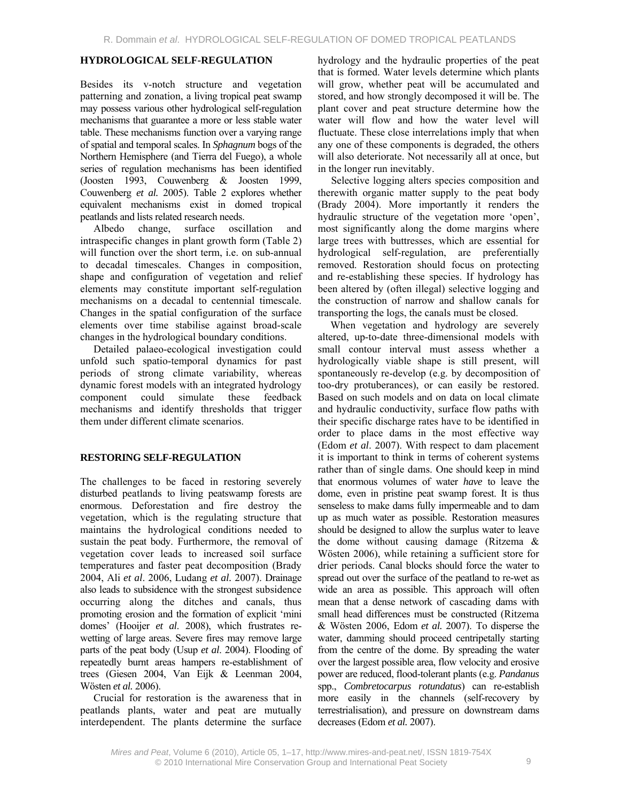### **HYDROLOGICAL SELF-REGULATION**

Besides its v-notch structure and vegetation patterning and zonation, a living tropical peat swamp may possess various other hydrological self-regulation mechanisms that guarantee a more or less stable water table. These mechanisms function over a varying range of spatial and temporal scales. In *Sphagnum* bogs of the Northern Hemisphere (and Tierra del Fuego), a whole series of regulation mechanisms has been identified (Joosten 1993, Couwenberg & Joosten 1999, Couwenberg *et al.* 2005). Table 2 explores whether equivalent mechanisms exist in domed tropical peatlands and lists related research needs.

Albedo change, surface oscillation and intraspecific changes in plant growth form (Table 2) will function over the short term, i.e. on sub-annual to decadal timescales. Changes in composition, shape and configuration of vegetation and relief elements may constitute important self-regulation mechanisms on a decadal to centennial timescale. Changes in the spatial configuration of the surface elements over time stabilise against broad-scale changes in the hydrological boundary conditions.

Detailed palaeo-ecological investigation could unfold such spatio-temporal dynamics for past periods of strong climate variability, whereas dynamic forest models with an integrated hydrology component could simulate these feedback mechanisms and identify thresholds that trigger them under different climate scenarios.

### **RESTORING SELF-REGULATION**

The challenges to be faced in restoring severely disturbed peatlands to living peatswamp forests are enormous. Deforestation and fire destroy the vegetation, which is the regulating structure that maintains the hydrological conditions needed to sustain the peat body. Furthermore, the removal of vegetation cover leads to increased soil surface temperatures and faster peat decomposition (Brady 2004, Ali *et al*. 2006, Ludang *et al.* 2007). Drainage also leads to subsidence with the strongest subsidence occurring along the ditches and canals, thus promoting erosion and the formation of explicit 'mini domes' (Hooijer *et al*. 2008), which frustrates rewetting of large areas. Severe fires may remove large parts of the peat body (Usup *et al*. 2004). Flooding of repeatedly burnt areas hampers re-establishment of trees (Giesen 2004, Van Eijk & Leenman 2004, Wösten *et al.* 2006).

Crucial for restoration is the awareness that in peatlands plants, water and peat are mutually interdependent. The plants determine the surface hydrology and the hydraulic properties of the peat that is formed. Water levels determine which plants will grow, whether peat will be accumulated and stored, and how strongly decomposed it will be. The plant cover and peat structure determine how the water will flow and how the water level will fluctuate. These close interrelations imply that when any one of these components is degraded, the others will also deteriorate. Not necessarily all at once, but in the longer run inevitably.

Selective logging alters species composition and therewith organic matter supply to the peat body (Brady 2004). More importantly it renders the hydraulic structure of the vegetation more 'open', most significantly along the dome margins where large trees with buttresses, which are essential for hydrological self-regulation, are preferentially removed. Restoration should focus on protecting and re-establishing these species. If hydrology has been altered by (often illegal) selective logging and the construction of narrow and shallow canals for transporting the logs, the canals must be closed.

When vegetation and hydrology are severely altered, up-to-date three-dimensional models with small contour interval must assess whether a hydrologically viable shape is still present, will spontaneously re-develop (e.g. by decomposition of too-dry protuberances), or can easily be restored. Based on such models and on data on local climate and hydraulic conductivity, surface flow paths with their specific discharge rates have to be identified in order to place dams in the most effective way (Edom *et al*. 2007). With respect to dam placement it is important to think in terms of coherent systems rather than of single dams. One should keep in mind that enormous volumes of water *have* to leave the dome, even in pristine peat swamp forest. It is thus senseless to make dams fully impermeable and to dam up as much water as possible. Restoration measures should be designed to allow the surplus water to leave the dome without causing damage (Ritzema & Wösten 2006), while retaining a sufficient store for drier periods. Canal blocks should force the water to spread out over the surface of the peatland to re-wet as wide an area as possible. This approach will often mean that a dense network of cascading dams with small head differences must be constructed (Ritzema & Wösten 2006, Edom *et al.* 2007). To disperse the water, damming should proceed centripetally starting from the centre of the dome. By spreading the water over the largest possible area, flow velocity and erosive power are reduced, flood-tolerant plants (e.g. *Pandanus* spp., *Combretocarpus rotundatus*) can re-establish more easily in the channels (self-recovery by terrestrialisation), and pressure on downstream dams decreases (Edom *et al.* 2007).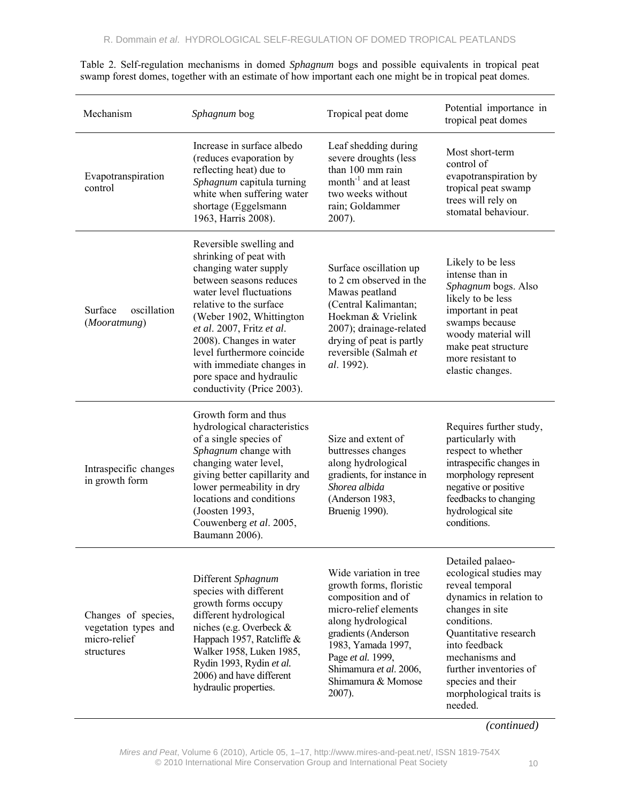| Mechanism                                                                 | Sphagnum bog                                                                                                                                                                                                                                                                                                                                                          | Tropical peat dome                                                                                                                                                                                                                                    | Potential importance in<br>tropical peat domes                                                                                                                                                                                                                              |
|---------------------------------------------------------------------------|-----------------------------------------------------------------------------------------------------------------------------------------------------------------------------------------------------------------------------------------------------------------------------------------------------------------------------------------------------------------------|-------------------------------------------------------------------------------------------------------------------------------------------------------------------------------------------------------------------------------------------------------|-----------------------------------------------------------------------------------------------------------------------------------------------------------------------------------------------------------------------------------------------------------------------------|
| Evapotranspiration<br>control                                             | Increase in surface albedo<br>(reduces evaporation by<br>reflecting heat) due to<br>Sphagnum capitula turning<br>white when suffering water<br>shortage (Eggelsmann<br>1963, Harris 2008).                                                                                                                                                                            | Leaf shedding during<br>severe droughts (less<br>than 100 mm rain<br>month $^{-1}$ and at least<br>two weeks without<br>rain; Goldammer<br>2007).                                                                                                     | Most short-term<br>control of<br>evapotranspiration by<br>tropical peat swamp<br>trees will rely on<br>stomatal behaviour.                                                                                                                                                  |
| oscillation<br>Surface<br>(Mooratmung)                                    | Reversible swelling and<br>shrinking of peat with<br>changing water supply<br>between seasons reduces<br>water level fluctuations<br>relative to the surface<br>(Weber 1902, Whittington<br>et al. 2007, Fritz et al.<br>2008). Changes in water<br>level furthermore coincide<br>with immediate changes in<br>pore space and hydraulic<br>conductivity (Price 2003). | Surface oscillation up<br>to 2 cm observed in the<br>Mawas peatland<br>(Central Kalimantan;<br>Hoekman & Vrielink<br>2007); drainage-related<br>drying of peat is partly<br>reversible (Salmah et<br>al. 1992).                                       | Likely to be less<br>intense than in<br>Sphagnum bogs. Also<br>likely to be less<br>important in peat<br>swamps because<br>woody material will<br>make peat structure<br>more resistant to<br>elastic changes.                                                              |
| Intraspecific changes<br>in growth form                                   | Growth form and thus<br>hydrological characteristics<br>of a single species of<br>Sphagnum change with<br>changing water level,<br>giving better capillarity and<br>lower permeability in dry<br>locations and conditions<br>(Joosten 1993,<br>Couwenberg et al. 2005,<br>Baumann 2006).                                                                              | Size and extent of<br>buttresses changes<br>along hydrological<br>gradients, for instance in<br>Shorea albida<br>(Anderson 1983,<br>Bruenig 1990).                                                                                                    | Requires further study,<br>particularly with<br>respect to whether<br>intraspecific changes in<br>morphology represent<br>negative or positive<br>feedbacks to changing<br>hydrological site<br>conditions.                                                                 |
| Changes of species,<br>vegetation types and<br>micro-relief<br>structures | Different Sphagnum<br>species with different<br>growth forms occupy<br>different hydrological<br>niches (e.g. Overbeck &<br>Happach 1957, Ratcliffe &<br>Walker 1958, Luken 1985,<br>Rydin 1993, Rydin et al.<br>2006) and have different<br>hydraulic properties.                                                                                                    | Wide variation in tree<br>growth forms, floristic<br>composition and of<br>micro-relief elements<br>along hydrological<br>gradients (Anderson<br>1983, Yamada 1997,<br>Page et al. 1999,<br>Shimamura et al. 2006,<br>Shimamura & Momose<br>$2007$ ). | Detailed palaeo-<br>ecological studies may<br>reveal temporal<br>dynamics in relation to<br>changes in site<br>conditions.<br>Quantitative research<br>into feedback<br>mechanisms and<br>further inventories of<br>species and their<br>morphological traits is<br>needed. |

Table 2. Self-regulation mechanisms in domed *Sphagnum* bogs and possible equivalents in tropical peat swamp forest domes, together with an estimate of how important each one might be in tropical peat domes.

*(continued)*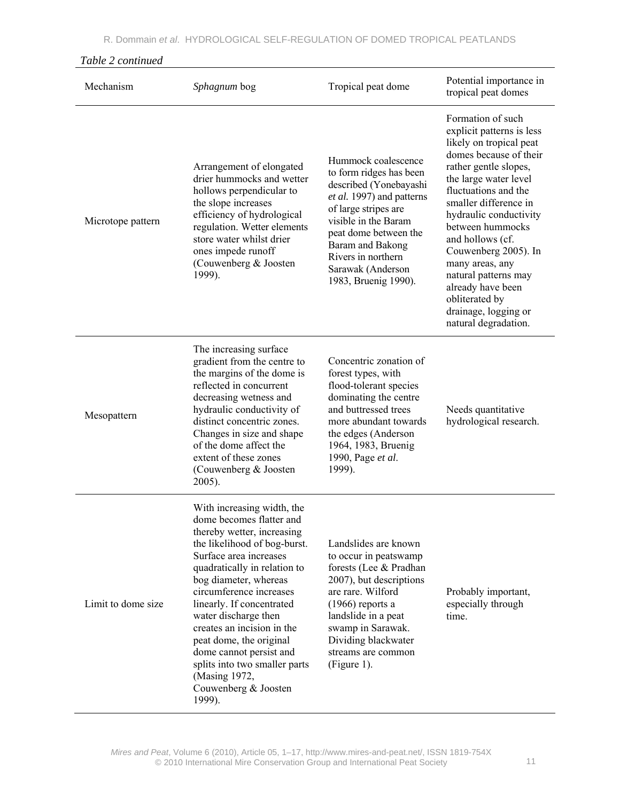| Mechanism          | Sphagnum bog                                                                                                                                                                                                                                                                                                                                                                                                                                                    | Tropical peat dome                                                                                                                                                                                                                                                    | Potential importance in<br>tropical peat domes                                                                                                                                                                                                                                                                                                                                                                                     |
|--------------------|-----------------------------------------------------------------------------------------------------------------------------------------------------------------------------------------------------------------------------------------------------------------------------------------------------------------------------------------------------------------------------------------------------------------------------------------------------------------|-----------------------------------------------------------------------------------------------------------------------------------------------------------------------------------------------------------------------------------------------------------------------|------------------------------------------------------------------------------------------------------------------------------------------------------------------------------------------------------------------------------------------------------------------------------------------------------------------------------------------------------------------------------------------------------------------------------------|
| Microtope pattern  | Arrangement of elongated<br>drier hummocks and wetter<br>hollows perpendicular to<br>the slope increases<br>efficiency of hydrological<br>regulation. Wetter elements<br>store water whilst drier<br>ones impede runoff<br>(Couwenberg & Joosten)<br>1999).                                                                                                                                                                                                     | Hummock coalescence<br>to form ridges has been<br>described (Yonebayashi<br>et al. 1997) and patterns<br>of large stripes are<br>visible in the Baram<br>peat dome between the<br>Baram and Bakong<br>Rivers in northern<br>Sarawak (Anderson<br>1983, Bruenig 1990). | Formation of such<br>explicit patterns is less<br>likely on tropical peat<br>domes because of their<br>rather gentle slopes,<br>the large water level<br>fluctuations and the<br>smaller difference in<br>hydraulic conductivity<br>between hummocks<br>and hollows (cf.<br>Couwenberg 2005). In<br>many areas, any<br>natural patterns may<br>already have been<br>obliterated by<br>drainage, logging or<br>natural degradation. |
| Mesopattern        | The increasing surface<br>gradient from the centre to<br>the margins of the dome is<br>reflected in concurrent<br>decreasing wetness and<br>hydraulic conductivity of<br>distinct concentric zones.<br>Changes in size and shape<br>of the dome affect the<br>extent of these zones<br>(Couwenberg & Joosten<br>2005).                                                                                                                                          | Concentric zonation of<br>forest types, with<br>flood-tolerant species<br>dominating the centre<br>and buttressed trees<br>more abundant towards<br>the edges (Anderson<br>1964, 1983, Bruenig<br>1990, Page et al.<br>1999).                                         | Needs quantitative<br>hydrological research.                                                                                                                                                                                                                                                                                                                                                                                       |
| Limit to dome size | With increasing width, the<br>dome becomes flatter and<br>thereby wetter, increasing<br>the likelihood of bog-burst.<br>Surface area increases<br>quadratically in relation to<br>bog diameter, whereas<br>circumference increases<br>linearly. If concentrated<br>water discharge then<br>creates an incision in the<br>peat dome, the original<br>dome cannot persist and<br>splits into two smaller parts<br>(Masing 1972,<br>Couwenberg & Joosten<br>1999). | Landslides are known<br>to occur in peatswamp<br>forests (Lee & Pradhan<br>2007), but descriptions<br>are rare. Wilford<br>$(1966)$ reports a<br>landslide in a peat<br>swamp in Sarawak.<br>Dividing blackwater<br>streams are common<br>(Figure 1).                 | Probably important,<br>especially through<br>time.                                                                                                                                                                                                                                                                                                                                                                                 |

## *Table 2 continued*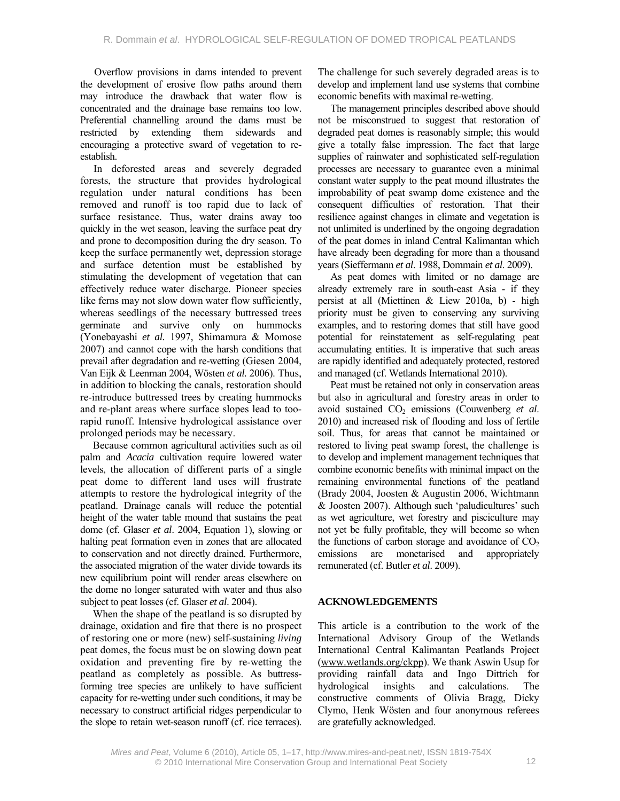Overflow provisions in dams intended to prevent the development of erosive flow paths around them may introduce the drawback that water flow is concentrated and the drainage base remains too low. Preferential channelling around the dams must be restricted by extending them sidewards and encouraging a protective sward of vegetation to reestablish.

In deforested areas and severely degraded forests, the structure that provides hydrological regulation under natural conditions has been removed and runoff is too rapid due to lack of surface resistance. Thus, water drains away too quickly in the wet season, leaving the surface peat dry and prone to decomposition during the dry season. To keep the surface permanently wet, depression storage and surface detention must be established by stimulating the development of vegetation that can effectively reduce water discharge. Pioneer species like ferns may not slow down water flow sufficiently, whereas seedlings of the necessary buttressed trees germinate and survive only on hummocks (Yonebayashi *et al.* 1997, Shimamura & Momose 2007) and cannot cope with the harsh conditions that prevail after degradation and re-wetting (Giesen 2004, Van Eijk & Leenman 2004, Wösten *et al.* 2006). Thus, in addition to blocking the canals, restoration should re-introduce buttressed trees by creating hummocks and re-plant areas where surface slopes lead to toorapid runoff. Intensive hydrological assistance over prolonged periods may be necessary.

Because common agricultural activities such as oil palm and *Acacia* cultivation require lowered water levels, the allocation of different parts of a single peat dome to different land uses will frustrate attempts to restore the hydrological integrity of the peatland. Drainage canals will reduce the potential height of the water table mound that sustains the peat dome (cf. Glaser *et al*. 2004, Equation 1), slowing or halting peat formation even in zones that are allocated to conservation and not directly drained. Furthermore, the associated migration of the water divide towards its new equilibrium point will render areas elsewhere on the dome no longer saturated with water and thus also subject to peat losses (cf. Glaser *et al*. 2004).

When the shape of the peatland is so disrupted by drainage, oxidation and fire that there is no prospect of restoring one or more (new) self-sustaining *living* peat domes, the focus must be on slowing down peat oxidation and preventing fire by re-wetting the peatland as completely as possible. As buttressforming tree species are unlikely to have sufficient capacity for re-wetting under such conditions, it may be necessary to construct artificial ridges perpendicular to the slope to retain wet-season runoff (cf. rice terraces).

The challenge for such severely degraded areas is to develop and implement land use systems that combine economic benefits with maximal re-wetting.

The management principles described above should not be misconstrued to suggest that restoration of degraded peat domes is reasonably simple; this would give a totally false impression. The fact that large supplies of rainwater and sophisticated self-regulation processes are necessary to guarantee even a minimal constant water supply to the peat mound illustrates the improbability of peat swamp dome existence and the consequent difficulties of restoration. That their resilience against changes in climate and vegetation is not unlimited is underlined by the ongoing degradation of the peat domes in inland Central Kalimantan which have already been degrading for more than a thousand years (Sieffermann *et al*. 1988, Dommain *et al*. 2009).

As peat domes with limited or no damage are already extremely rare in south-east Asia - if they persist at all (Miettinen & Liew 2010a, b) - high priority must be given to conserving any surviving examples, and to restoring domes that still have good potential for reinstatement as self-regulating peat accumulating entities. It is imperative that such areas are rapidly identified and adequately protected, restored and managed (cf. Wetlands International 2010).

Peat must be retained not only in conservation areas but also in agricultural and forestry areas in order to avoid sustained CO<sub>2</sub> emissions (Couwenberg *et al.*) 2010) and increased risk of flooding and loss of fertile soil. Thus, for areas that cannot be maintained or restored to living peat swamp forest, the challenge is to develop and implement management techniques that combine economic benefits with minimal impact on the remaining environmental functions of the peatland (Brady 2004, Joosten & Augustin 2006, Wichtmann & Joosten 2007). Although such 'paludicultures' such as wet agriculture, wet forestry and pisciculture may not yet be fully profitable, they will become so when the functions of carbon storage and avoidance of  $CO<sub>2</sub>$ emissions are monetarised and appropriately remunerated (cf. Butler *et al*. 2009).

## **ACKNOWLEDGEMENTS**

This article is a contribution to the work of the International Advisory Group of the Wetlands International Central Kalimantan Peatlands Project (www.wetlands.org/ckpp). We thank Aswin Usup for providing rainfall data and Ingo Dittrich for hydrological insights and calculations. The constructive comments of Olivia Bragg, Dicky Clymo, Henk Wösten and four anonymous referees are gratefully acknowledged.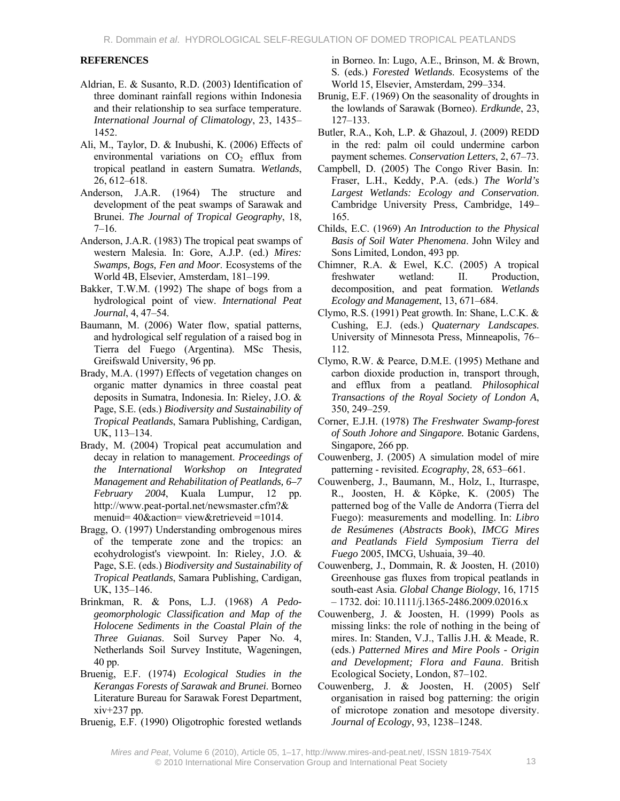#### **REFERENCES**

- Aldrian, E. & Susanto, R.D. (2003) Identification of three dominant rainfall regions within Indonesia and their relationship to sea surface temperature. *International Journal of Climatology*, 23, 1435– 1452.
- Ali, M., Taylor, D. & Inubushi, K. (2006) Effects of environmental variations on  $CO<sub>2</sub>$  efflux from tropical peatland in eastern Sumatra. *Wetlands*, 26, 612–618.
- Anderson, J.A.R. (1964) The structure and development of the peat swamps of Sarawak and Brunei. *The Journal of Tropical Geography*, 18, 7–16.
- Anderson, J.A.R. (1983) The tropical peat swamps of western Malesia. In: Gore, A.J.P. (ed.) *Mires: Swamps, Bogs, Fen and Moor*. Ecosystems of the World 4B, Elsevier, Amsterdam, 181–199.
- Bakker, T.W.M. (1992) The shape of bogs from a hydrological point of view. *International Peat Journal*, 4, 47–54.
- Baumann, M. (2006) Water flow, spatial patterns, and hydrological self regulation of a raised bog in Tierra del Fuego (Argentina). MSc Thesis, Greifswald University, 96 pp.
- Brady, M.A. (1997) Effects of vegetation changes on organic matter dynamics in three coastal peat deposits in Sumatra, Indonesia. In: Rieley, J.O. & Page, S.E. (eds.) *Biodiversity and Sustainability of Tropical Peatlands*, Samara Publishing, Cardigan, UK, 113–134.
- Brady, M. (2004) Tropical peat accumulation and decay in relation to management. *Proceedings of the International Workshop on Integrated Management and Rehabilitation of Peatlands, 6–7 February 2004*, Kuala Lumpur, 12 pp. http://www.peat-portal.net/newsmaster.cfm?& menuid= 40&action= view&retrieveid =1014.
- Bragg, O. (1997) Understanding ombrogenous mires of the temperate zone and the tropics: an ecohydrologist's viewpoint. In: Rieley, J.O. & Page, S.E. (eds.) *Biodiversity and Sustainability of Tropical Peatlands*, Samara Publishing, Cardigan, UK, 135–146.
- Brinkman, R. & Pons, L.J. (1968) *A Pedogeomorphologic Classification and Map of the Holocene Sediments in the Coastal Plain of the Three Guianas*. Soil Survey Paper No. 4, Netherlands Soil Survey Institute, Wageningen, 40 pp.
- Bruenig, E.F. (1974) *Ecological Studies in the Kerangas Forests of Sarawak and Brunei*. Borneo Literature Bureau for Sarawak Forest Department, xiv+237 pp.
- Bruenig, E.F. (1990) Oligotrophic forested wetlands

in Borneo. In: Lugo, A.E., Brinson, M. & Brown, S. (eds.) *Forested Wetlands*. Ecosystems of the World 15, Elsevier, Amsterdam, 299–334.

- Brunig, E.F. (1969) On the seasonality of droughts in the lowlands of Sarawak (Borneo). *Erdkunde*, 23, 127–133.
- Butler, R.A., Koh, L.P. & Ghazoul, J. (2009) REDD in the red: palm oil could undermine carbon payment schemes. *Conservation Letters*, 2, 67–73.
- Campbell, D. (2005) The Congo River Basin. In: Fraser, L.H., Keddy, P.A. (eds.) *The World's Largest Wetlands: Ecology and Conservation*. Cambridge University Press, Cambridge, 149– 165.
- Childs, E.C. (1969) *An Introduction to the Physical Basis of Soil Water Phenomena*. John Wiley and Sons Limited, London, 493 pp.
- Chimner, R.A. & Ewel, K.C. (2005) A tropical freshwater wetland: II. Production, decomposition, and peat formation. *Wetlands Ecology and Management*, 13, 671–684.
- Clymo, R.S. (1991) Peat growth. In: Shane, L.C.K. & Cushing, E.J. (eds.) *Quaternary Landscapes*. University of Minnesota Press, Minneapolis, 76– 112.
- Clymo, R.W. & Pearce, D.M.E. (1995) Methane and carbon dioxide production in, transport through, and efflux from a peatland. *Philosophical Transactions of the Royal Society of London A*, 350, 249–259.
- Corner, E.J.H. (1978) *The Freshwater Swamp-forest of South Johore and Singapore.* Botanic Gardens, Singapore, 266 pp.
- Couwenberg, J. (2005) A simulation model of mire patterning - revisited. *Ecography*, 28, 653–661.
- Couwenberg, J., Baumann, M., Holz, I., Iturraspe, R., Joosten, H. & Köpke, K. (2005) The patterned bog of the Valle de Andorra (Tierra del Fuego): measurements and modelling. In: *Libro de Resúmenes* (*Abstracts Book*), *IMCG Mires and Peatlands Field Symposium Tierra del Fuego* 2005, IMCG, Ushuaia, 39–40.
- Couwenberg, J., Dommain, R. & Joosten, H. (2010) Greenhouse gas fluxes from tropical peatlands in south-east Asia. *Global Change Biology*, 16, 1715 – 1732. doi: 10.1111/j.1365-2486.2009.02016.x
- Couwenberg, J. & Joosten, H. (1999) Pools as missing links: the role of nothing in the being of mires. In: Standen, V.J., Tallis J.H. & Meade, R. (eds.) *Patterned Mires and Mire Pools - Origin and Development; Flora and Fauna*. British Ecological Society, London, 87–102.
- Couwenberg, J. & Joosten, H. (2005) Self organisation in raised bog patterning: the origin of microtope zonation and mesotope diversity. *Journal of Ecology*, 93, 1238–1248.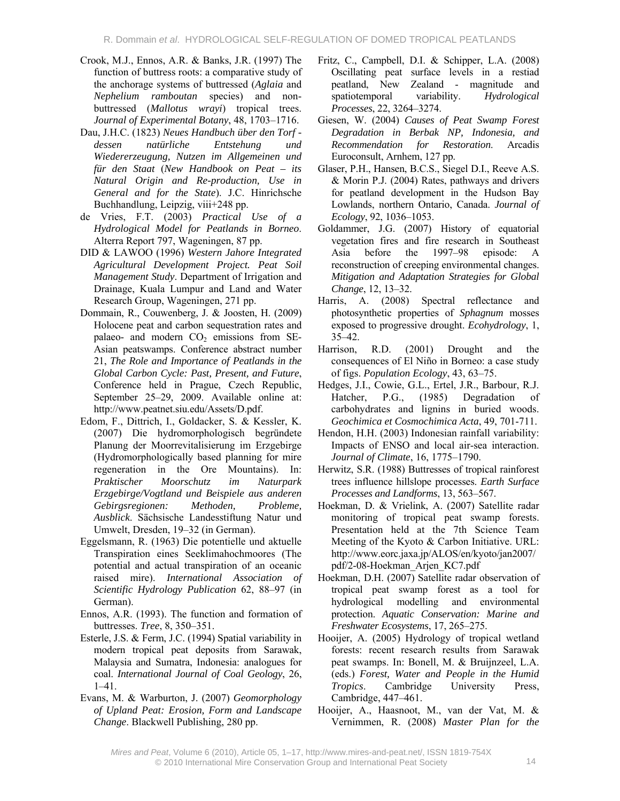- Crook, M.J., Ennos, A.R. & Banks, J.R. (1997) The function of buttress roots: a comparative study of the anchorage systems of buttressed (*Aglaia* and *Nephelium ramboutan* species) and nonbuttressed (*Mallotus wrayi*) tropical trees. *Journal of Experimental Botany*, 48, 1703–1716.
- Dau, J.H.C. (1823) *Neues Handbuch über den Torf dessen natürliche Entstehung und Wiedererzeugung, Nutzen im Allgemeinen und für den Staat* (*New Handbook on Peat – its Natural Origin and Re-production, Use in General and for the State*). J.C. Hinrichsche Buchhandlung, Leipzig, viii+248 pp.
- de Vries, F.T. (2003) *Practical Use of a Hydrological Model for Peatlands in Borneo*. Alterra Report 797, Wageningen, 87 pp.
- DID & LAWOO (1996) *Western Jahore Integrated Agricultural Development Project. Peat Soil Management Study*. Department of Irrigation and Drainage, Kuala Lumpur and Land and Water Research Group, Wageningen, 271 pp.
- Dommain, R., Couwenberg, J. & Joosten, H. (2009) Holocene peat and carbon sequestration rates and palaeo- and modern  $CO<sub>2</sub>$  emissions from SE-Asian peatswamps. Conference abstract number 21, *The Role and Importance of Peatlands in the Global Carbon Cycle: Past, Present, and Future*, Conference held in Prague, Czech Republic, September 25–29, 2009. Available online at: http://www.peatnet.siu.edu/Assets/D.pdf.
- Edom, F., Dittrich, I., Goldacker, S. & Kessler, K. (2007) Die hydromorphologisch begründete Planung der Moorrevitalisierung im Erzgebirge (Hydromorphologically based planning for mire regeneration in the Ore Mountains). In: *Praktischer Moorschutz im Naturpark Erzgebirge/Vogtland und Beispiele aus anderen Gebirgsregionen: Methoden, Probleme, Ausblick*. Sächsische Landesstiftung Natur und Umwelt, Dresden, 19–32 (in German).
- Eggelsmann, R. (1963) Die potentielle und aktuelle Transpiration eines Seeklimahochmoores (The potential and actual transpiration of an oceanic raised mire). *International Association of Scientific Hydrology Publication* 62, 88–97 (in German).
- Ennos, A.R. (1993). The function and formation of buttresses. *Tree*, 8, 350–351.
- Esterle, J.S. & Ferm, J.C. (1994) Spatial variability in modern tropical peat deposits from Sarawak, Malaysia and Sumatra, Indonesia: analogues for coal. *International Journal of Coal Geology*, 26, 1–41.
- Evans, M. & Warburton, J. (2007) *Geomorphology of Upland Peat: Erosion, Form and Landscape Change*. Blackwell Publishing, 280 pp.
- Fritz, C., Campbell, D.I. & Schipper, L.A. (2008) Oscillating peat surface levels in a restiad peatland, New Zealand - magnitude and spatiotemporal variability. *Hydrological Processes*, 22, 3264–3274.
- Giesen, W. (2004) *Causes of Peat Swamp Forest Degradation in Berbak NP, Indonesia, and Recommendation for Restoration*. Arcadis Euroconsult, Arnhem, 127 pp.
- Glaser, P.H., Hansen, B.C.S., Siegel D.I., Reeve A.S. & Morin P.J. (2004) Rates, pathways and drivers for peatland development in the Hudson Bay Lowlands, northern Ontario, Canada. *Journal of Ecology*, 92, 1036–1053.
- Goldammer, J.G. (2007) History of equatorial vegetation fires and fire research in Southeast Asia before the 1997–98 episode: A reconstruction of creeping environmental changes. *Mitigation and Adaptation Strategies for Global Change*, 12, 13–32.
- Harris, A. (2008) Spectral reflectance and photosynthetic properties of *Sphagnum* mosses exposed to progressive drought. *Ecohydrology*, 1, 35–42.
- Harrison, R.D. (2001) Drought and the consequences of El Niño in Borneo: a case study of figs. *Population Ecology*, 43, 63–75.
- Hedges, J.I., Cowie, G.L., Ertel, J.R., Barbour, R.J. Hatcher, P.G., (1985) Degradation of carbohydrates and lignins in buried woods. *Geochimica et Cosmochimica Acta*, 49, 701-711.
- Hendon, H.H. (2003) Indonesian rainfall variability: Impacts of ENSO and local air-sea interaction. *Journal of Climate*, 16, 1775–1790.
- Herwitz, S.R. (1988) Buttresses of tropical rainforest trees influence hillslope processes. *Earth Surface Processes and Landforms*, 13, 563–567.
- Hoekman, D. & Vrielink, A. (2007) Satellite radar monitoring of tropical peat swamp forests. Presentation held at the 7th Science Team Meeting of the Kyoto & Carbon Initiative. URL: http://www.eorc.jaxa.jp/ALOS/en/kyoto/jan2007/ pdf/2-08-Hoekman\_Arjen\_KC7.pdf
- Hoekman, D.H. (2007) Satellite radar observation of tropical peat swamp forest as a tool for hydrological modelling and environmental protection. *Aquatic Conservation: Marine and Freshwater Ecosystems*, 17, 265–275.
- Hooijer, A. (2005) Hydrology of tropical wetland forests: recent research results from Sarawak peat swamps. In: Bonell, M. & Bruijnzeel, L.A. (eds.) *Forest, Water and People in the Humid Tropics*. Cambridge University Press, Cambridge, 447–461.
- Hooijer, A., Haasnoot, M., van der Vat, M. & Vernimmen, R. (2008) *Master Plan for the*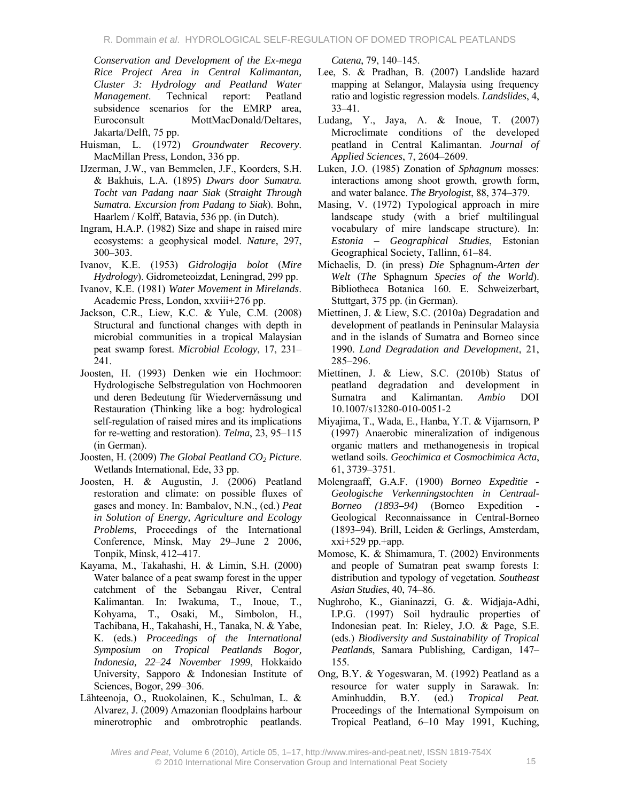*Conservation and Development of the Ex-mega Rice Project Area in Central Kalimantan, Cluster 3: Hydrology and Peatland Water Management*. Technical report: Peatland subsidence scenarios for the EMRP area, Euroconsult MottMacDonald/Deltares, Jakarta/Delft, 75 pp.

- Huisman, L. (1972) *Groundwater Recovery*. MacMillan Press, London, 336 pp.
- IJzerman, J.W., van Bemmelen, J.F., Koorders, S.H. & Bakhuis, L.A. (1895) *Dwars door Sumatra. Tocht van Padang naar Siak* (*Straight Through Sumatra. Excursion from Padang to Siak*). Bohn, Haarlem / Kolff, Batavia, 536 pp. (in Dutch).
- Ingram, H.A.P. (1982) Size and shape in raised mire ecosystems: a geophysical model. *Nature*, 297, 300–303.
- Ivanov, K.E. (1953) *Gidrologija bolot* (*Mire Hydrology*). Gidrometeoizdat, Leningrad, 299 pp.
- Ivanov, K.E. (1981) *Water Movement in Mirelands*. Academic Press, London, xxviii+276 pp.
- Jackson, C.R., Liew, K.C. & Yule, C.M. (2008) Structural and functional changes with depth in microbial communities in a tropical Malaysian peat swamp forest. *Microbial Ecology*, 17, 231– 241.
- Joosten, H. (1993) Denken wie ein Hochmoor: Hydrologische Selbstregulation von Hochmooren und deren Bedeutung für Wiedervernässung und Restauration (Thinking like a bog: hydrological self-regulation of raised mires and its implications for re-wetting and restoration). *Telma*, 23, 95–115 (in German).
- Joosten, H. (2009) *The Global Peatland CO<sub>2</sub> Picture*. Wetlands International, Ede, 33 pp.
- Joosten, H. & Augustin, J. (2006) Peatland restoration and climate: on possible fluxes of gases and money. In: Bambalov, N.N., (ed.) *Peat in Solution of Energy, Agriculture and Ecology Problems*, Proceedings of the International Conference, Minsk, May 29–June 2 2006, Tonpik, Minsk, 412–417.
- Kayama, M., Takahashi, H. & Limin, S.H. (2000) Water balance of a peat swamp forest in the upper catchment of the Sebangau River, Central Kalimantan. In: Iwakuma, T., Inoue, T., Kohyama, T., Osaki, M., Simbolon, H., Tachibana, H., Takahashi, H., Tanaka, N. & Yabe, K. (eds.) *Proceedings of the International Symposium on Tropical Peatlands Bogor, Indonesia, 22–24 November 1999*, Hokkaido University, Sapporo & Indonesian Institute of Sciences, Bogor, 299–306.
- Lähteenoja, O., Ruokolainen, K., Schulman, L. & Alvarez, J. (2009) Amazonian floodplains harbour minerotrophic and ombrotrophic peatlands.

*Catena*, 79, 140–145.

- Lee, S. & Pradhan, B. (2007) Landslide hazard mapping at Selangor, Malaysia using frequency ratio and logistic regression models. *Landslides*, 4, 33–41.
- Ludang, Y., Jaya, A. & Inoue, T. (2007) Microclimate conditions of the developed peatland in Central Kalimantan. *Journal of Applied Sciences*, 7, 2604–2609.
- Luken, J.O. (1985) Zonation of *Sphagnum* mosses: interactions among shoot growth, growth form, and water balance. *The Bryologist*, 88, 374–379.
- Masing, V. (1972) Typological approach in mire landscape study (with a brief multilingual vocabulary of mire landscape structure). In: *Estonia – Geographical Studies*, Estonian Geographical Society, Tallinn, 61–84.
- Michaelis, D. (in press) *Die* Sphagnum*-Arten der Welt* (*The* Sphagnum *Species of the World*). Bibliotheca Botanica 160. E. Schweizerbart, Stuttgart, 375 pp. (in German).
- Miettinen, J. & Liew, S.C. (2010a) Degradation and development of peatlands in Peninsular Malaysia and in the islands of Sumatra and Borneo since 1990. *Land Degradation and Development*, 21, 285–296.
- Miettinen, J. & Liew, S.C. (2010b) Status of peatland degradation and development in Sumatra and Kalimantan. *Ambio* DOI 10.1007/s13280-010-0051-2
- Miyajima, T., Wada, E., Hanba, Y.T. & Vijarnsorn, P (1997) Anaerobic mineralization of indigenous organic matters and methanogenesis in tropical wetland soils. *Geochimica et Cosmochimica Acta*, 61, 3739–3751.
- Molengraaff, G.A.F. (1900) *Borneo Expeditie Geologische Verkenningstochten in Centraal-Borneo (1893–94)* (Borneo Expedition - Geological Reconnaissance in Central-Borneo (1893–94). Brill, Leiden & Gerlings, Amsterdam,  $xxi+529$  pp. $+$ app.
- Momose, K. & Shimamura, T. (2002) Environments and people of Sumatran peat swamp forests I: distribution and typology of vegetation. *Southeast Asian Studies*, 40, 74–86.
- Nughroho, K., Gianinazzi, G. &. Widjaja-Adhi, I.P.G. (1997) Soil hydraulic properties of Indonesian peat. In: Rieley, J.O. & Page, S.E. (eds.) *Biodiversity and Sustainability of Tropical Peatlands*, Samara Publishing, Cardigan, 147– 155.
- Ong, B.Y. & Yogeswaran, M. (1992) Peatland as a resource for water supply in Sarawak. In: Aminhuddin, B.Y. (ed.) *Tropical Peat.*  Proceedings of the International Sympoisum on Tropical Peatland, 6–10 May 1991, Kuching,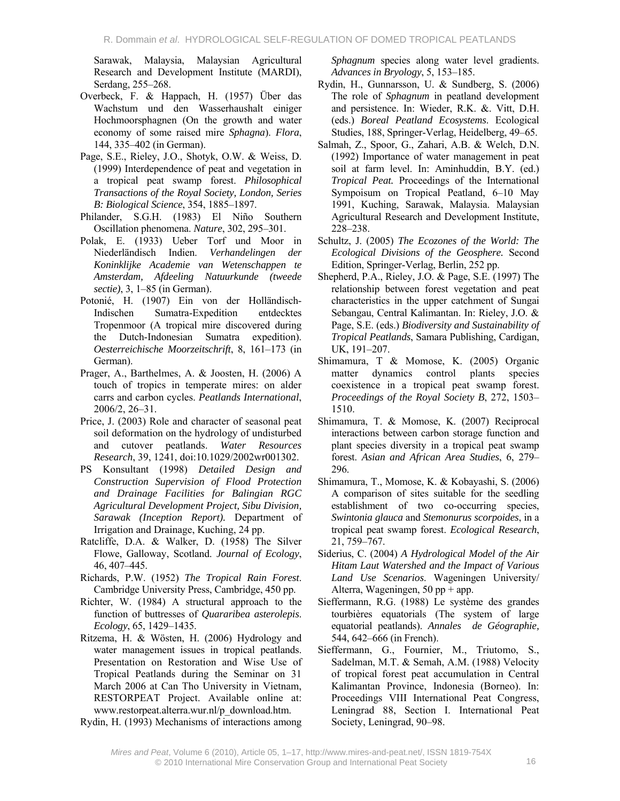Sarawak, Malaysia, Malaysian Agricultural Research and Development Institute (MARDI), Serdang, 255–268.

- Overbeck, F. & Happach, H. (1957) Über das Wachstum und den Wasserhaushalt einiger Hochmoorsphagnen (On the growth and water economy of some raised mire *Sphagna*). *Flora*, 144, 335–402 (in German).
- Page, S.E., Rieley, J.O., Shotyk, O.W. & Weiss, D. (1999) Interdependence of peat and vegetation in a tropical peat swamp forest. *Philosophical Transactions of the Royal Society, London, Series B: Biological Science*, 354, 1885–1897.
- Philander, S.G.H. (1983) El Niño Southern Oscillation phenomena. *Nature*, 302, 295–301.
- Polak, E. (1933) Ueber Torf und Moor in Niederländisch Indien. *Verhandelingen der Koninklijke Academie van Wetenschappen te Amsterdam, Afdeeling Natuurkunde (tweede sectie)*, 3, 1–85 (in German).
- Potonié, H. (1907) Ein von der Holländisch-Indischen Sumatra-Expedition entdecktes Tropenmoor (A tropical mire discovered during the Dutch-Indonesian Sumatra expedition). *Oesterreichische Moorzeitschrift*, 8, 161–173 (in German).
- Prager, A., Barthelmes, A. & Joosten, H. (2006) A touch of tropics in temperate mires: on alder carrs and carbon cycles. *Peatlands International*, 2006/2, 26–31.
- Price, J. (2003) Role and character of seasonal peat soil deformation on the hydrology of undisturbed and cutover peatlands. *Water Resources Research*, 39, 1241, doi:10.1029/2002wr001302.
- PS Konsultant (1998) *Detailed Design and Construction Supervision of Flood Protection and Drainage Facilities for Balingian RGC Agricultural Development Project, Sibu Division, Sarawak (Inception Report).* Department of Irrigation and Drainage, Kuching, 24 pp.
- Ratcliffe, D.A. & Walker, D. (1958) The Silver Flowe, Galloway, Scotland. *Journal of Ecology*, 46, 407–445.
- Richards, P.W. (1952) *The Tropical Rain Forest*. Cambridge University Press, Cambridge, 450 pp.
- Richter, W. (1984) A structural approach to the function of buttresses of *Quararibea asterolepis*. *Ecology*, 65, 1429–1435.
- Ritzema, H. & Wösten, H. (2006) Hydrology and water management issues in tropical peatlands. Presentation on Restoration and Wise Use of Tropical Peatlands during the Seminar on 31 March 2006 at Can Tho University in Vietnam, RESTORPEAT Project. Available online at: www.restorpeat.alterra.wur.nl/p\_download.htm.

Rydin, H. (1993) Mechanisms of interactions among

*Sphagnum* species along water level gradients. *Advances in Bryology*, 5, 153–185.

- Rydin, H., Gunnarsson, U. & Sundberg, S. (2006) The role of *Sphagnum* in peatland development and persistence. In: Wieder, R.K. &. Vitt, D.H. (eds.) *Boreal Peatland Ecosystems*. Ecological Studies, 188, Springer-Verlag, Heidelberg, 49–65.
- Salmah, Z., Spoor, G., Zahari, A.B. & Welch, D.N. (1992) Importance of water management in peat soil at farm level. In: Aminhuddin, B.Y. (ed.) *Tropical Peat.* Proceedings of the International Sympoisum on Tropical Peatland, 6–10 May 1991, Kuching, Sarawak, Malaysia. Malaysian Agricultural Research and Development Institute, 228–238.
- Schultz, J. (2005) *The Ecozones of the World: The Ecological Divisions of the Geosphere.* Second Edition, Springer-Verlag, Berlin, 252 pp.
- Shepherd, P.A., Rieley, J.O. & Page, S.E. (1997) The relationship between forest vegetation and peat characteristics in the upper catchment of Sungai Sebangau, Central Kalimantan. In: Rieley, J.O. & Page, S.E. (eds.) *Biodiversity and Sustainability of Tropical Peatlands*, Samara Publishing, Cardigan, UK, 191–207.
- Shimamura, T & Momose, K. (2005) Organic matter dynamics control plants species coexistence in a tropical peat swamp forest. *Proceedings of the Royal Society B*, 272, 1503– 1510.
- Shimamura, T. & Momose, K. (2007) Reciprocal interactions between carbon storage function and plant species diversity in a tropical peat swamp forest. *Asian and African Area Studies*, 6, 279– 296.
- Shimamura, T., Momose, K. & Kobayashi, S. (2006) A comparison of sites suitable for the seedling establishment of two co-occurring species, *Swintonia glauca* and *Stemonurus scorpoides*, in a tropical peat swamp forest. *Ecological Research*, 21, 759–767.
- Siderius, C. (2004) *A Hydrological Model of the Air Hitam Laut Watershed and the Impact of Various Land Use Scenarios*. Wageningen University/ Alterra, Wageningen,  $50$  pp + app.
- Sieffermann, R.G. (1988) Le système des grandes tourbières equatorials (The system of large equatorial peatlands). *Annales de Géographie,*  544, 642–666 (in French).
- Sieffermann, G., Fournier, M., Triutomo, S., Sadelman, M.T. & Semah, A.M. (1988) Velocity of tropical forest peat accumulation in Central Kalimantan Province, Indonesia (Borneo). In: Proceedings VIII International Peat Congress, Leningrad 88, Section I. International Peat Society, Leningrad, 90–98.